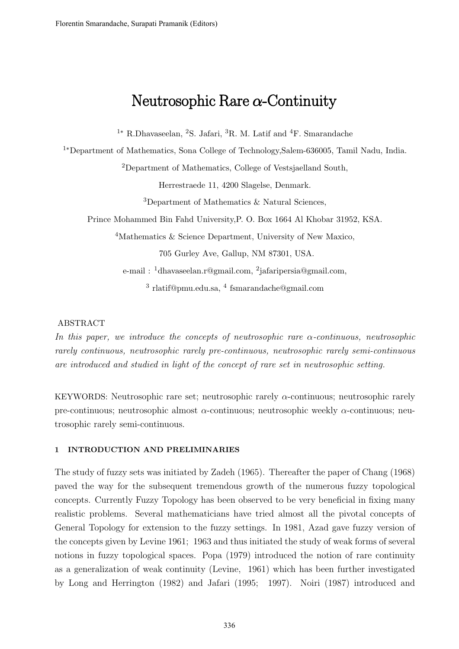# Neutrosophic Rare  $\alpha$ -Continuity

<sup>1</sup><sup>∗</sup> R.Dhavaseelan, <sup>2</sup>S. Jafari, <sup>3</sup>R. M. Latif and <sup>4</sup>F. Smarandache

<sup>1</sup>∗Department of Mathematics, Sona College of Technology,Salem-636005, Tamil Nadu, India.

<sup>2</sup>Department of Mathematics, College of Vestsjaelland South,

Herrestraede 11, 4200 Slagelse, Denmark.

<sup>3</sup>Department of Mathematics & Natural Sciences,

Prince Mohammed Bin Fahd University,P. O. Box 1664 Al Khobar 31952, KSA.

<sup>4</sup>Mathematics & Science Department, University of New Maxico,

705 Gurley Ave, Gallup, NM 87301, USA.

e-mail: <sup>1</sup>dhavaseelan.r@gmail.com, <sup>2</sup>jafaripersia@gmail.com, 3 rlatif@pmu.edu.sa, <sup>4</sup> fsmarandache@gmail.com

#### ABSTRACT

In this paper, we introduce the concepts of neutrosophic rare  $\alpha$ -continuous, neutrosophic rarely continuous, neutrosophic rarely pre-continuous, neutrosophic rarely semi-continuous are introduced and studied in light of the concept of rare set in neutrosophic setting.

KEYWORDS: Neutrosophic rare set; neutrosophic rarely  $\alpha$ -continuous; neutrosophic rarely pre-continuous; neutrosophic almost  $\alpha$ -continuous; neutrosophic weekly  $\alpha$ -continuous; neutrosophic rarely semi-continuous.

### 1 INTRODUCTION AND PRELIMINARIES

The study of fuzzy sets was initiated by Zadeh (1965). Thereafter the paper of Chang (1968) paved the way for the subsequent tremendous growth of the numerous fuzzy topological concepts. Currently Fuzzy Topology has been observed to be very beneficial in fixing many realistic problems. Several mathematicians have tried almost all the pivotal concepts of General Topology for extension to the fuzzy settings. In 1981, Azad gave fuzzy version of the concepts given by Levine 1961; 1963 and thus initiated the study of weak forms of several notions in fuzzy topological spaces. Popa (1979) introduced the notion of rare continuity as a generalization of weak continuity (Levine, 1961) which has been further investigated by Long and Herrington (1982) and Jafari (1995; 1997). Noiri (1987) introduced and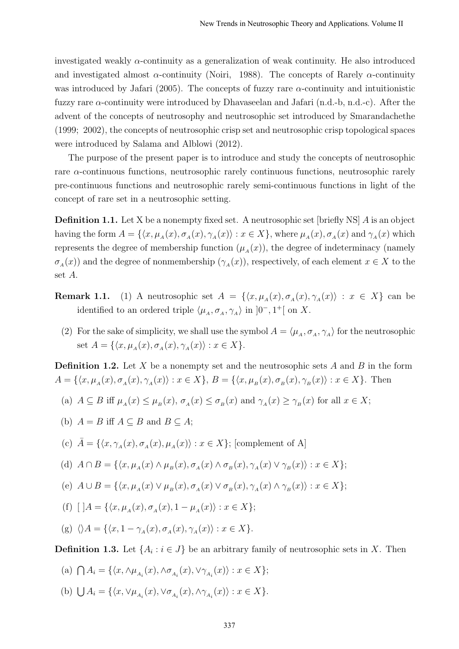investigated weakly  $\alpha$ -continuity as a generalization of weak continuity. He also introduced and investigated almost  $\alpha$ -continuity (Noiri, 1988). The concepts of Rarely  $\alpha$ -continuity was introduced by Jafari (2005). The concepts of fuzzy rare  $\alpha$ -continuity and intuitionistic fuzzy rare  $\alpha$ -continuity were introduced by Dhavaseelan and Jafari (n.d.-b, n.d.-c). After the advent of the concepts of neutrosophy and neutrosophic set introduced by Smarandachethe (1999; 2002), the concepts of neutrosophic crisp set and neutrosophic crisp topological spaces were introduced by Salama and Alblowi (2012).

The purpose of the present paper is to introduce and study the concepts of neutrosophic rare  $\alpha$ -continuous functions, neutrosophic rarely continuous functions, neutrosophic rarely pre-continuous functions and neutrosophic rarely semi-continuous functions in light of the concept of rare set in a neutrosophic setting.

**Definition 1.1.** Let X be a nonempty fixed set. A neutrosophic set [briefly NS] A is an object having the form  $A = \{\langle x, \mu_A(x), \sigma_A(x), \gamma_A(x)\rangle : x \in X\}$ , where  $\mu_A(x), \sigma_A(x)$  and  $\gamma_A(x)$  which represents the degree of membership function  $(\mu_A(x))$ , the degree of indeterminacy (namely  $\sigma_A(x)$  and the degree of nonmembership  $(\gamma_A(x))$ , respectively, of each element  $x \in X$  to the set A.

- **Remark 1.1.** (1) A neutrosophic set  $A = \{ \langle x, \mu_A(x), \sigma_A(x), \gamma_A(x) \rangle : x \in X \}$  can be identified to an ordered triple  $\langle \mu_A, \sigma_A, \gamma_A \rangle$  in  $]0^-, 1^+[$  on X.
	- (2) For the sake of simplicity, we shall use the symbol  $A = \langle \mu_A, \sigma_A, \gamma_A \rangle$  for the neutrosophic set  $A = \{ \langle x, \mu_A(x), \sigma_A(x), \gamma_A(x) \rangle : x \in X \}.$

**Definition 1.2.** Let X be a nonempty set and the neutrosophic sets A and B in the form  $A = \{ \langle x, \mu_A(x), \sigma_A(x), \gamma_A(x) \rangle : x \in X \}, B = \{ \langle x, \mu_B(x), \sigma_B(x), \gamma_B(x) \rangle : x \in X \}.$  Then

- (a)  $A \subseteq B$  iff  $\mu_A(x) \leq \mu_B(x)$ ,  $\sigma_A(x) \leq \sigma_B(x)$  and  $\gamma_A(x) \geq \gamma_B(x)$  for all  $x \in X$ ;
- (b)  $A = B$  iff  $A \subseteq B$  and  $B \subseteq A$ ;

(c) 
$$
\bar{A} = \{ \langle x, \gamma_A(x), \sigma_A(x), \mu_A(x) \rangle : x \in X \};
$$
 [complement of A]

- (d)  $A \cap B = \{ \langle x, \mu_A(x) \land \mu_B(x), \sigma_A(x) \land \sigma_B(x), \gamma_A(x) \lor \gamma_B(x) \rangle : x \in X \};$
- (e)  $A \cup B = \{ \langle x, \mu_A(x) \vee \mu_B(x), \sigma_A(x) \vee \sigma_B(x), \gamma_A(x) \wedge \gamma_B(x) \rangle : x \in X \};$
- (f)  $[$   $]A = \{ \langle x, \mu_A(x), \sigma_A(x), 1 \mu_A(x) \rangle : x \in X \};$
- (g)  $\langle A = {\langle x, 1 \gamma_A(x), \sigma_A(x), \gamma_A(x) \rangle : x \in X}$ .

**Definition 1.3.** Let  $\{A_i : i \in J\}$  be an arbitrary family of neutrosophic sets in X. Then

(a) 
$$
\bigcap A_i = \{ \langle x, \wedge \mu_{A_i}(x), \wedge \sigma_{A_i}(x), \vee \gamma_{A_i}(x) \rangle : x \in X \};
$$

(b)  $\bigcup A_i = \{ \langle x, \vee \mu_{A_i}(x), \vee \sigma_{A_i}(x), \wedge \gamma_{A_i}(x) \rangle : x \in X \}.$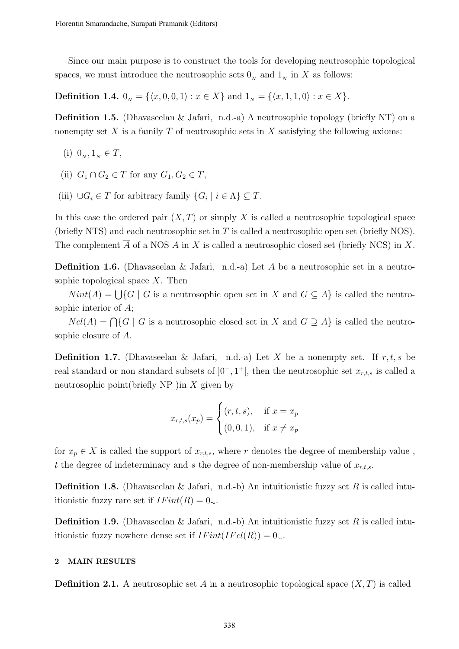Since our main purpose is to construct the tools for developing neutrosophic topological spaces, we must introduce the neutrosophic sets  $0<sub>N</sub>$  and  $1<sub>N</sub>$  in X as follows:

**Definition 1.4.**  $0_N = \{\langle x, 0, 0, 1 \rangle : x \in X\}$  and  $1_N = \{\langle x, 1, 1, 0 \rangle : x \in X\}.$ 

**Definition 1.5.** (Dhavaseelan & Jafari, n.d.-a) A neutrosophic topology (briefly NT) on a nonempty set X is a family T of neutrosophic sets in X satisfying the following axioms:

- (i)  $0_N, 1_N \in T$ ,
- (ii)  $G_1 \cap G_2 \in T$  for any  $G_1, G_2 \in T$ ,
- (iii)  $\bigcup G_i \in T$  for arbitrary family  $\{G_i \mid i \in \Lambda\} \subseteq T$ .

In this case the ordered pair  $(X, T)$  or simply X is called a neutrosophic topological space (briefly NTS) and each neutrosophic set in  $T$  is called a neutrosophic open set (briefly NOS). The complement  $\overline{A}$  of a NOS A in X is called a neutrosophic closed set (briefly NCS) in X.

**Definition 1.6.** (Dhavaseelan & Jafari, n.d.-a) Let A be a neutrosophic set in a neutrosophic topological space  $X$ . Then

 $Nint(A) = \bigcup \{ G | G$  is a neutrosophic open set in X and  $G \subseteq A \}$  is called the neutrosophic interior of A;

 $Ncl(A) = \bigcap \{G \mid G$  is a neutrosophic closed set in X and  $G \supseteq A\}$  is called the neutrosophic closure of A.

**Definition 1.7.** (Dhavaseelan & Jafari, n.d.-a) Let X be a nonempty set. If r, t, s be real standard or non standard subsets of  $]0^-, 1^+[$ , then the neutrosophic set  $x_{r,t,s}$  is called a neutrosophic point (briefly NP) in  $X$  given by

$$
x_{r,t,s}(x_p) = \begin{cases} (r, t, s), & \text{if } x = x_p \\ (0, 0, 1), & \text{if } x \neq x_p \end{cases}
$$

for  $x_p \in X$  is called the support of  $x_{r,t,s}$ , where r denotes the degree of membership value, t the degree of indeterminacy and s the degree of non-membership value of  $x_{r,t,s}$ .

**Definition 1.8.** (Dhavaseelan & Jafari, n.d.-b) An intuitionistic fuzzy set R is called intuitionistic fuzzy rare set if  $IFint(R) = 0_{\sim}$ .

**Definition 1.9.** (Dhavaseelan & Jafari, n.d.-b) An intuitionistic fuzzy set R is called intuitionistic fuzzy nowhere dense set if  $IFint(IFcl(R)) = 0_{\sim}$ .

## 2 MAIN RESULTS

**Definition 2.1.** A neutrosophic set A in a neutrosophic topological space  $(X, T)$  is called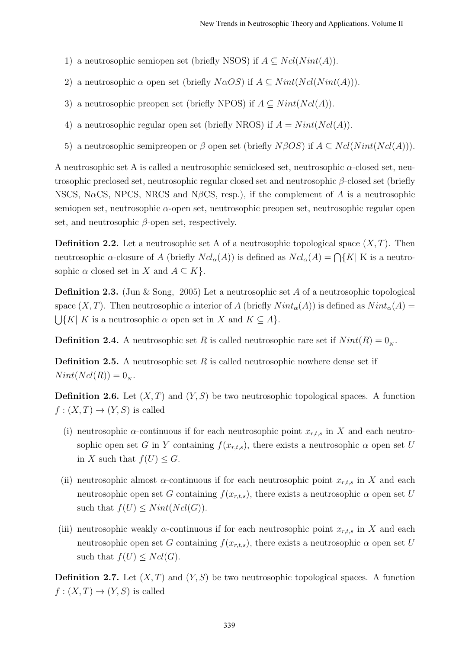- 1) a neutrosophic semiopen set (briefly NSOS) if  $A \subseteq Ncl(Nint(A)).$
- 2) a neutrosophic  $\alpha$  open set (briefly  $N\alpha OS$ ) if  $A \subseteq Nint(Ncl(Nint(A))).$
- 3) a neutrosophic preopen set (briefly NPOS) if  $A \subseteq Nint(Ncl(A)).$
- 4) a neutrosophic regular open set (briefly NROS) if  $A = Nint(Ncl(A)).$
- 5) a neutrosophic semipreopen or  $\beta$  open set (briefly  $N\beta OS$ ) if  $A \subseteq Ncl(Nint(Ncl(A)))$ .

A neutrosophic set A is called a neutrosophic semiclosed set, neutrosophic α-closed set, neutrosophic preclosed set, neutrosophic regular closed set and neutrosophic β-closed set (briefly NSCS, N $\alpha$ CS, NPCS, NRCS and N $\beta$ CS, resp.), if the complement of A is a neutrosophic semiopen set, neutrosophic  $\alpha$ -open set, neutrosophic preopen set, neutrosophic regular open set, and neutrosophic  $\beta$ -open set, respectively.

**Definition 2.2.** Let a neutrosophic set A of a neutrosophic topological space  $(X, T)$ . Then neutrosophic  $\alpha$ -closure of A (briefly  $Ncl_{\alpha}(A)$ ) is defined as  $Ncl_{\alpha}(A) = \bigcap \{K | K$  is a neutrosophic  $\alpha$  closed set in X and  $A \subseteq K$ .

**Definition 2.3.** (Jun & Song, 2005) Let a neutrosophic set A of a neutrosophic topological space  $(X, T)$ . Then neutrosophic  $\alpha$  interior of A (briefly  $Nint_{\alpha}(A)$ ) is defined as  $Nint_{\alpha}(A)$  $\bigcup \{ K | K$  is a neutrosophic  $\alpha$  open set in X and  $K \subseteq A \}.$ 

**Definition 2.4.** A neutrosophic set R is called neutrosophic rare set if  $Nint(R) = 0_N$ .

**Definition 2.5.** A neutrosophic set R is called neutrosophic nowhere dense set if  $Nint(Ncl(R)) = 0_N.$ 

**Definition 2.6.** Let  $(X, T)$  and  $(Y, S)$  be two neutrosophic topological spaces. A function  $f:(X,T)\to (Y,S)$  is called

- (i) neutrosophic  $\alpha$ -continuous if for each neutrosophic point  $x_{r,t,s}$  in X and each neutrosophic open set G in Y containing  $f(x_{r,t,s})$ , there exists a neutrosophic  $\alpha$  open set U in X such that  $f(U) \leq G$ .
- (ii) neutrosophic almost  $\alpha$ -continuous if for each neutrosophic point  $x_{r,t,s}$  in X and each neutrosophic open set G containing  $f(x_{r,t,s})$ , there exists a neutrosophic  $\alpha$  open set U such that  $f(U) \leq Nint(Ncl(G)).$
- (iii) neutrosophic weakly  $\alpha$ -continuous if for each neutrosophic point  $x_{r,t,s}$  in X and each neutrosophic open set G containing  $f(x_{r,t,s})$ , there exists a neutrosophic  $\alpha$  open set U such that  $f(U) \leq Ncl(G)$ .

**Definition 2.7.** Let  $(X, T)$  and  $(Y, S)$  be two neutrosophic topological spaces. A function  $f:(X,T)\to (Y,S)$  is called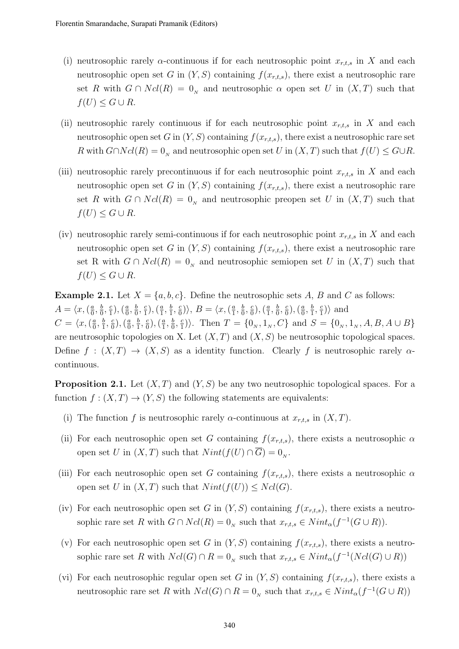- (i) neutrosophic rarely  $\alpha$ -continuous if for each neutrosophic point  $x_{r,t,s}$  in X and each neutrosophic open set G in  $(Y, S)$  containing  $f(x_{r,t,s})$ , there exist a neutrosophic rare set R with  $G \cap Ncl(R) = 0<sub>N</sub>$  and neutrosophic  $\alpha$  open set U in  $(X, T)$  such that  $f(U) \leq G \cup R$ .
- (ii) neutrosophic rarely continuous if for each neutrosophic point  $x_{r,t,s}$  in X and each neutrosophic open set G in  $(Y, S)$  containing  $f(x_{r,t,s})$ , there exist a neutrosophic rare set R with  $G \cap Ncl(R) = 0_N$  and neutrosophic open set U in  $(X, T)$  such that  $f(U) \leq G \cup R$ .
- (iii) neutrosophic rarely precontinuous if for each neutrosophic point  $x_{r,t,s}$  in X and each neutrosophic open set G in  $(Y, S)$  containing  $f(x_{r,t,s})$ , there exist a neutrosophic rare set R with  $G \cap Ncl(R) = 0<sub>N</sub>$  and neutrosophic preopen set U in  $(X, T)$  such that  $f(U) \leq G \cup R$ .
- (iv) neutrosophic rarely semi-continuous if for each neutrosophic point  $x_{r,t,s}$  in X and each neutrosophic open set G in  $(Y, S)$  containing  $f(x_{r,t,s})$ , there exist a neutrosophic rare set R with  $G \cap Ncl(R) = 0<sub>N</sub>$  and neutrosophic semiopen set U in  $(X, T)$  such that  $f(U) \leq G \cup R$ .

**Example 2.1.** Let  $X = \{a, b, c\}$ . Define the neutrosophic sets A, B and C as follows:  $A = \langle x, \left( \frac{a}{0} \right) \rangle$  $\frac{a}{0}, \frac{b}{0}$  $\frac{b}{0}$ ,  $\frac{c}{1}$  $\frac{c}{1}), (\frac{a}{0}$  $\frac{a}{0}, \frac{b}{0}$  $\frac{b}{0}, \frac{c}{1}$  $\left(\frac{c}{1}\right),\left(\frac{a}{1}\right)$  $\frac{a}{1}, \frac{b}{1}$  $\frac{b}{1}, \frac{c}{0}$  $\binom{c}{0}$ ,  $B = \langle x, \left(\frac{a}{1}\right)$  $\frac{a}{1}, \frac{b}{0}$  $\frac{b}{0}$ ,  $\frac{c}{0}$  $\left(\frac{c}{0}\right),\left(\frac{a}{1}\right)$  $\frac{a}{1}, \frac{b}{0}$  $\frac{b}{0}$ ,  $\frac{c}{0}$  $\frac{c}{0}$ ),  $\left(\frac{a}{0}\right)$  $\frac{a}{0}, \frac{b}{1}$  $\frac{b}{1}, \frac{c}{1}$  $\frac{c}{1}$ ) and  $C = \langle x, (\frac{a}{0}$  $\frac{a}{0}, \frac{b}{1}$  $\frac{b}{1}$ ,  $\frac{c}{0}$  $\left(\frac{c}{0}\right),\left(\frac{a}{0}\right)$  $\frac{a}{0}, \frac{b}{1}$  $\frac{b}{1}$ ,  $\frac{c}{0}$  $\left(\frac{c}{0}\right), \left(\frac{a}{1}\right)$  $\frac{a}{1}, \frac{b}{0}$  $\frac{b}{0}, \frac{c}{1}$  $\binom{c}{1}$ . Then  $T = \{0_N, 1_N, C\}$  and  $S = \{0_N, 1_N, A, B, A \cup B\}$ are neutrosophic topologies on X. Let  $(X, T)$  and  $(X, S)$  be neutrosophic topological spaces. Define  $f : (X,T) \to (X,S)$  as a identity function. Clearly f is neutrosophic rarely  $\alpha$ continuous.

**Proposition 2.1.** Let  $(X, T)$  and  $(Y, S)$  be any two neutrosophic topological spaces. For a function  $f : (X,T) \to (Y,S)$  the following statements are equivalents:

- (i) The function f is neutrosophic rarely  $\alpha$ -continuous at  $x_{r,t,s}$  in  $(X,T)$ .
- (ii) For each neutrosophic open set G containing  $f(x_{r,t,s})$ , there exists a neutrosophic  $\alpha$ open set U in  $(X, T)$  such that  $Nint(f(U) \cap \overline{G}) = 0_{N}$ .
- (iii) For each neutrosophic open set G containing  $f(x_{r,t,s})$ , there exists a neutrosophic  $\alpha$ open set U in  $(X, T)$  such that  $Nint(f(U)) \leq Ncl(G)$ .
- (iv) For each neutrosophic open set G in  $(Y, S)$  containing  $f(x_{r,t,s})$ , there exists a neutrosophic rare set R with  $G \cap Ncl(R) = 0_N$  such that  $x_{r,t,s} \in Nint_{\alpha}(f^{-1}(G \cup R)).$
- (v) For each neutrosophic open set G in  $(Y, S)$  containing  $f(x_{r,t,s})$ , there exists a neutrosophic rare set R with  $Ncl(G) \cap R = 0_N$  such that  $x_{r,t,s} \in Nint_{\alpha}(f^{-1}(Ncl(G) \cup R))$
- (vi) For each neutrosophic regular open set G in  $(Y, S)$  containing  $f(x_{r,t,s})$ , there exists a neutrosophic rare set R with  $Ncl(G) \cap R = 0_N$  such that  $x_{r,t,s} \in Nint_{\alpha}(f^{-1}(G \cup R))$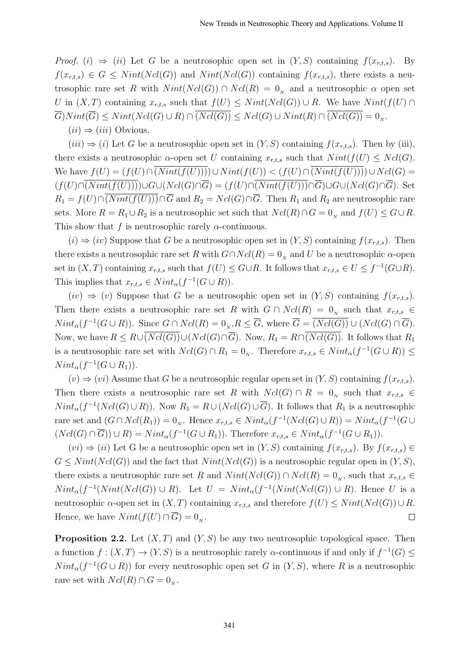*Proof.* (i)  $\Rightarrow$  (ii) Let G be a neutrosophic open set in  $(Y, S)$  containing  $f(x_{r,t,s})$ . By  $f(x_{r,t,s}) \in G \leq Nint(Ncl(G))$  and  $Nint(Ncl(G))$  containing  $f(x_{r,t,s})$ , there exists a neutrosophic rare set R with  $Nint(Ncl(G)) \cap Ncl(R) = 0<sub>N</sub>$  and a neutrosophic  $\alpha$  open set U in  $(X, T)$  containing  $x_{r,t,s}$  such that  $f(U) \leq Nint(Ncl(G)) \cup R$ . We have  $Nint(f(U) \cap$  $G)Nint(G) \leq Nint(Ncl(G) \cup R) \cap (Ncl(G)) \leq Ncl(G) \cup Nint(R) \cap (Ncl(G)) = 0_{N}.$ 

 $(ii) \Rightarrow (iii)$  Obvious.

 $(iii) \Rightarrow (i)$  Let G be a neutrosophic open set in  $(Y, S)$  containing  $f(x_{r,t,s})$ . Then by (iii), there exists a neutrosophic  $\alpha$ -open set U containing  $x_{r,t,s}$  such that  $Nint(f(U) \leq Ncl(G))$ . We have  $f(U) = (f(U) \cap (Nint(f(U)))) \cup Nint(f(U)) < (f(U) \cap (Nint(f(U)))) \cup Ncl(G)$  $(f(U)\cap \overline{(Nint(f(U)))})\cup G\cup (Ncl(G)\cap \overline{G})=(f(U)\cap \overline{(Nint(f(U)))}\cap \overline{G})\cup G\cup (Ncl(G)\cap \overline{G}).$  Set  $R_1 = f(U) \cap \overline{(Nint(f(U)))} \cap \overline{G}$  and  $R_2 = Ncl(G) \cap \overline{G}$ . Then  $R_1$  and  $R_2$  are neutrosophic rare sets. More  $R = R_1 \cup R_2$  is a neutrosophic set such that  $Ncl(R) \cap G = 0_N$  and  $f(U) \leq G \cup R$ . This show that f is neutrosophic rarely  $\alpha$ -continuous.

 $(i) \Rightarrow (iv)$  Suppose that G be a neutrosophic open set in  $(Y, S)$  containing  $f(x_{r,t,s})$ . Then there exists a neutrosophic rare set R with  $G \cap Ncl(R) = 0<sub>N</sub>$  and U be a neutrosophic  $\alpha$ -open set in  $(X, T)$  containing  $x_{r,t,s}$  such that  $f(U) \leq G \cup R$ . It follows that  $x_{r,t,s} \in U \leq f^{-1}(G \cup R)$ . This implies that  $x_{r,t,s} \in Nint_{\alpha}(f^{-1}(G \cup R)).$ 

 $(iv) \Rightarrow (v)$  Suppose that G be a neutrosophic open set in  $(Y, S)$  containing  $f(x_{r,t,s})$ . Then there exists a neutrosophic rare set R with  $G \cap Ncl(R) = 0$ <sub>N</sub> such that  $x_{r,t,s} \in$  $Nint_{\alpha}(f^{-1}(G \cup R))$ . Since  $G \cap Ncl(R) = 0_{N}, R \leq \overline{G}$ , where  $\overline{G} = \overline{(Ncl(G))} \cup (Ncl(G) \cap \overline{G})$ . Now, we have  $R \leq R \cup \overline{(Ncl(G))} \cup (Ncl(G) \cap \overline{G})$ . Now,  $R_1 = R \cap \overline{(Ncl(G))}$ . It follows that  $R_1$ is a neutrosophic rare set with  $Ncl(G) \cap R_1 = 0_N$ . Therefore  $x_{r,t,s} \in Nint_{\alpha}(f^{-1}(G \cup R)) \le$  $Nint_{\alpha}(f^{-1}(G \cup R_1)).$ 

 $(v) \Rightarrow (vi)$  Assume that G be a neutrosophic regular open set in  $(Y, S)$  containing  $f(x_{r,t,s})$ . Then there exists a neutrosophic rare set R with  $Ncl(G) \cap R = 0$ <sub>N</sub> such that  $x_{r,t,s} \in$  $Nint_{\alpha}(f^{-1}(Ncl(G) \cup R))$ . Now  $R_1 = R \cup (Ncl(G) \cup \overline{G})$ . It follows that  $R_1$  is a neutrosophic rare set and  $(G \cap Ncl(R_1)) = 0_N$ . Hence  $x_{r,t,s} \in Nint_{\alpha}(f^{-1}(Ncl(G) \cup R)) = Nint_{\alpha}(f^{-1}(G \cup$  $(Ncl(G) \cap \overline{G})) \cup R = Nint_{\alpha}(f^{-1}(G \cup R_1)).$  Therefore  $x_{r,t,s} \in Nint_{\alpha}(f^{-1}(G \cup R_1)).$ 

 $(vi) \Rightarrow (ii)$  Let G be a neutrosophic open set in  $(Y, S)$  containing  $f(x_{r,t,s})$ . By  $f(x_{r,t,s}) \in$  $G \leq Nint(Ncl(G))$  and the fact that  $Nint(Ncl(G))$  is a neutrosophic regular open in  $(Y, S)$ , there exists a neutrosophic rare set R and  $Nint(Ncl(G)) \cap Ncl(R) = 0_N$ , such that  $x_{r,t,s} \in$  $Nint_{\alpha}(f^{-1}(Nint(Ncl(G))\cup R))$ . Let  $U = Nint_{\alpha}(f^{-1}(Nint(Ncl(G))\cup R)$ . Hence U is a neutrosophic  $\alpha$ -open set in  $(X, T)$  containing  $x_{r,t,s}$  and therefore  $f(U) \leq Nint(Ncl(G)) \cup R$ . Hence, we have  $Nint(f(U) \cap \overline{G}) = 0_N$ .  $\Box$ 

**Proposition 2.2.** Let  $(X, T)$  and  $(Y, S)$  be any two neutrosophic topological space. Then a function  $f:(X,T) \to (Y,S)$  is a neutrosophic rarely  $\alpha$ -continuous if and only if  $f^{-1}(G) \le$  $Nint_{\alpha}(f^{-1}(G \cup R))$  for every neutrosophic open set G in  $(Y, S)$ , where R is a neutrosophic rare set with  $Ncl(R) \cap G = 0_N$ .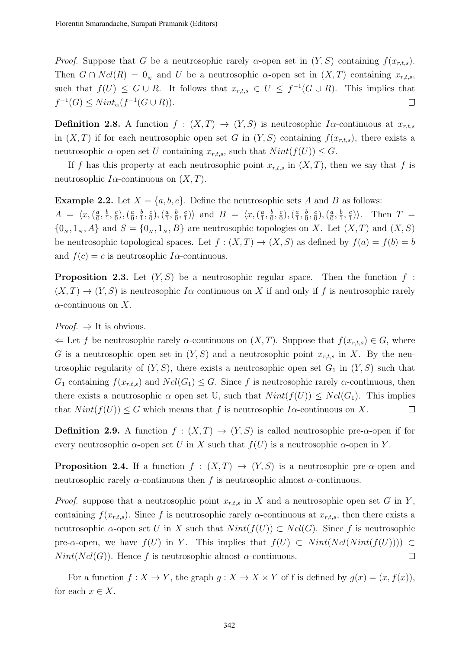*Proof.* Suppose that G be a neutrosophic rarely  $\alpha$ -open set in  $(Y, S)$  containing  $f(x_{r,t,s})$ . Then  $G \cap Ncl(R) = 0<sub>N</sub>$  and U be a neutrosophic  $\alpha$ -open set in  $(X,T)$  containing  $x<sub>r,t,s</sub>$ , such that  $f(U) \leq G \cup R$ . It follows that  $x_{r,t,s} \in U \leq f^{-1}(G \cup R)$ . This implies that  $f^{-1}(G) \leq Nint_{\alpha}(f^{-1}(G \cup R)).$  $\Box$ 

**Definition 2.8.** A function  $f : (X,T) \to (Y,S)$  is neutrosophic I $\alpha$ -continuous at  $x_{r,t,s}$ in  $(X, T)$  if for each neutrosophic open set G in  $(Y, S)$  containing  $f(x_{r,t,s})$ , there exists a neutrosophic  $\alpha$ -open set U containing  $x_{r,t,s}$ , such that  $Nint(f(U)) \leq G$ .

If f has this property at each neutrosophic point  $x_{r,t,s}$  in  $(X,T)$ , then we say that f is neutrosophic  $I\alpha$ -continuous on  $(X, T)$ .

**Example 2.2.** Let  $X = \{a, b, c\}$ . Define the neutrosophic sets A and B as follows:  $A = \langle x, (\frac{a}{0}$  $\frac{a}{0}, \frac{b}{1}$  $\frac{b}{1}, \frac{c}{0}$  $\left(\frac{c}{0}\right),\left(\frac{a}{0}\right)$  $\frac{a}{0}, \frac{b}{1}$  $\frac{b}{1}, \frac{c}{0}$  $\left(\frac{c}{0}\right),\left(\frac{a}{1}\right)$  $\frac{a}{1}, \frac{b}{0}$  $\frac{b}{0}$ ,  $\frac{c}{1}$  $\binom{c}{1}$ ) and  $B = \langle x, \left(\frac{a}{1}\right)$  $\frac{a}{1}, \frac{b}{0}$  $\frac{b}{0}$ ,  $\frac{c}{0}$  $\left(\frac{c}{0}\right),\left(\frac{a}{1}\right)$  $\frac{a}{1}, \frac{b}{0}$  $\frac{b}{0}$ ,  $\frac{c}{0}$  $\left(\frac{c}{0}\right),\left(\frac{a}{0}\right)$  $\frac{a}{0}, \frac{b}{1}$  $\frac{b}{1}, \frac{c}{1}$  $\binom{c}{1}$ . Then  $T =$  $\{0_N, 1_N, A\}$  and  $S = \{0_N, 1_N, B\}$  are neutrosophic topologies on X. Let  $(X, T)$  and  $(X, S)$ be neutrosophic topological spaces. Let  $f : (X,T) \to (X,S)$  as defined by  $f(a) = f(b) = b$ and  $f(c) = c$  is neutrosophic I $\alpha$ -continuous.

**Proposition 2.3.** Let  $(Y, S)$  be a neutrosophic regular space. Then the function f:  $(X, T) \to (Y, S)$  is neutrosophic I $\alpha$  continuous on X if and only if f is neutrosophic rarely  $\alpha$ -continuous on X.

*Proof.*  $\Rightarrow$  It is obvious.

 $\Leftarrow$  Let f be neutrosophic rarely  $\alpha$ -continuous on  $(X, T)$ . Suppose that  $f(x_{r,t,s}) \in G$ , where G is a neutrosophic open set in  $(Y, S)$  and a neutrosophic point  $x_{r,t,s}$  in X. By the neutrosophic regularity of  $(Y, S)$ , there exists a neutrosophic open set  $G_1$  in  $(Y, S)$  such that  $G_1$  containing  $f(x_{r,t,s})$  and  $Ncl(G_1) \leq G$ . Since f is neutrosophic rarely  $\alpha$ -continuous, then there exists a neutrosophic  $\alpha$  open set U, such that  $Nint(f(U)) \leq Ncl(G_1)$ . This implies that  $Nint(f(U)) \leq G$  which means that f is neutrosophic I $\alpha$ -continuous on X.  $\Box$ 

**Definition 2.9.** A function  $f : (X,T) \to (Y,S)$  is called neutrosophic pre- $\alpha$ -open if for every neutrosophic  $\alpha$ -open set U in X such that  $f(U)$  is a neutrosophic  $\alpha$ -open in Y.

**Proposition 2.4.** If a function  $f : (X,T) \to (Y,S)$  is a neutrosophic pre- $\alpha$ -open and neutrosophic rarely  $\alpha$ -continuous then f is neutrosophic almost  $\alpha$ -continuous.

*Proof.* suppose that a neutrosophic point  $x_{r,t,s}$  in X and a neutrosophic open set G in Y, containing  $f(x_{r,t,s})$ . Since f is neutrosophic rarely  $\alpha$ -continuous at  $x_{r,t,s}$ , then there exists a neutrosophic  $\alpha$ -open set U in X such that  $Nint(f(U)) \subset Ncl(G)$ . Since f is neutrosophic pre- $\alpha$ -open, we have  $f(U)$  in Y. This implies that  $f(U) \subset Nint(Ncl(Nint(f(U))))$  $Nint(Ncl(G))$ . Hence f is neutrosophic almost  $\alpha$ -continuous.  $\Box$ 

For a function  $f: X \to Y$ , the graph  $g: X \to X \times Y$  of f is defined by  $g(x) = (x, f(x))$ , for each  $x \in X$ .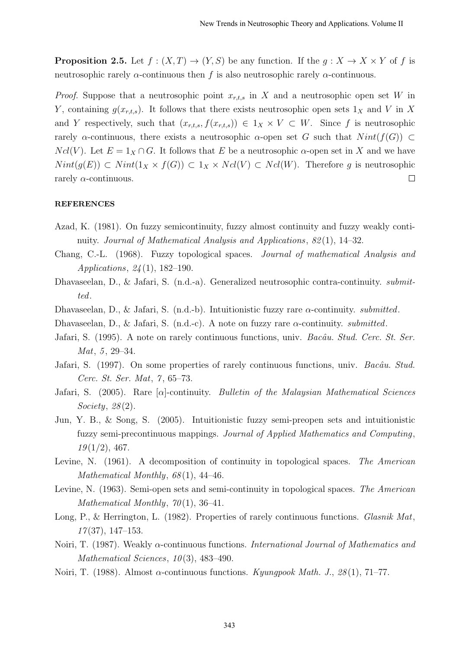**Proposition 2.5.** Let  $f : (X,T) \to (Y,S)$  be any function. If the  $g : X \to X \times Y$  of f is neutrosophic rarely  $\alpha$ -continuous then f is also neutrosophic rarely  $\alpha$ -continuous.

*Proof.* Suppose that a neutrosophic point  $x_{r,t,s}$  in X and a neutrosophic open set W in Y, containing  $g(x_{r,t,s})$ . It follows that there exists neutrosophic open sets  $1_X$  and V in X and Y respectively, such that  $(x_{r,t,s}, f(x_{r,t,s})) \in 1_X \times V \subset W$ . Since f is neutrosophic rarely  $\alpha$ -continuous, there exists a neutrosophic  $\alpha$ -open set G such that  $Nint(f(G)) \subset$  $Ncl(V)$ . Let  $E = 1_X \cap G$ . It follows that E be a neutrosophic  $\alpha$ -open set in X and we have  $Nint(g(E)) \subset Nint(1_X \times f(G)) \subset 1_X \times Ncl(V) \subset Ncl(W)$ . Therefore g is neutrosophic rarely  $\alpha$ -continuous.  $\Box$ 

### REFERENCES

- Azad, K. (1981). On fuzzy semicontinuity, fuzzy almost continuity and fuzzy weakly continuity. Journal of Mathematical Analysis and Applications, 82(1), 14–32.
- Chang, C.-L. (1968). Fuzzy topological spaces. Journal of mathematical Analysis and Applications, 24 (1), 182–190.
- Dhavaseelan, D., & Jafari, S. (n.d.-a). Generalized neutrosophic contra-continuity. submitted.
- Dhavaseelan, D., & Jafari, S. (n.d.-b). Intuitionistic fuzzy rare  $\alpha$ -continuity. *submitted*.
- Dhavaseelan, D., & Jafari, S. (n.d.-c). A note on fuzzy rare  $\alpha$ -continuity. *submitted*.
- Jafari, S. (1995). A note on rarely continuous functions, univ. Bacâu. Stud. Cerc. St. Ser.  $Mat, 5, 29-34.$
- Jafari, S. (1997). On some properties of rarely continuous functions, univ. Bacâu. Stud. Cerc. St. Ser. Mat, 7 , 65–73.
- Jafari, S. (2005). Rare  $[\alpha]$ -continuity. Bulletin of the Malaysian Mathematical Sciences Society,  $28(2)$ .
- Jun, Y. B., & Song, S. (2005). Intuitionistic fuzzy semi-preopen sets and intuitionistic fuzzy semi-precontinuous mappings. Journal of Applied Mathematics and Computing,  $19(1/2), 467.$
- Levine, N. (1961). A decomposition of continuity in topological spaces. The American Mathematical Monthly,  $68(1)$ , 44-46.
- Levine, N. (1963). Semi-open sets and semi-continuity in topological spaces. The American Mathematical Monthly,  $70(1)$ , 36-41.
- Long, P., & Herrington, L. (1982). Properties of rarely continuous functions. Glasnik Mat,  $17(37), 147-153.$
- Noiri, T. (1987). Weakly α-continuous functions. International Journal of Mathematics and Mathematical Sciences,  $10(3)$ , 483-490.
- Noiri, T. (1988). Almost  $\alpha$ -continuous functions. Kyungpook Math. J., 28(1), 71–77.